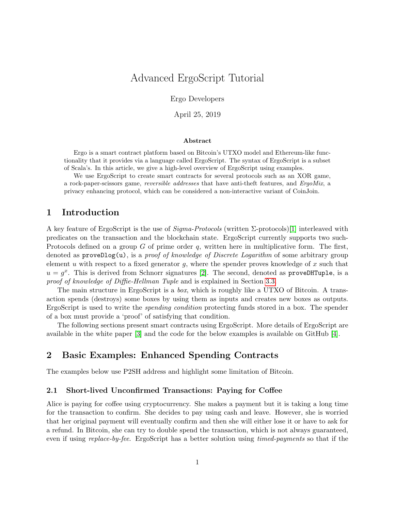# Advanced ErgoScript Tutorial

Ergo Developers

April 25, 2019

#### Abstract

Ergo is a smart contract platform based on Bitcoin's UTXO model and Ethereum-like functionality that it provides via a language called ErgoScript. The syntax of ErgoScript is a subset of Scala's. In this article, we give a high-level overview of ErgoScript using examples.

We use ErgoScript to create smart contracts for several protocols such as an XOR game, a rock-paper-scissors game, reversible addresses that have anti-theft features, and ErgoMix, a privacy enhancing protocol, which can be considered a non-interactive variant of CoinJoin.

### 1 Introduction

A key feature of ErgoScript is the use of  $Sigma-Protocols$  (written  $\Sigma$ -protocols)[\[1\]](#page-10-0) interleaved with predicates on the transaction and the blockchain state. ErgoScript currently supports two such-Protocols defined on a group G of prime order q, written here in multiplicative form. The first, denoted as  $\mathsf{proveDlog}(u)$ , is a *proof of knowledge of Discrete Logarithm* of some arbitrary group element u with respect to a fixed generator g, where the spender proves knowledge of x such that  $u = g^x$ . This is derived from Schnorr signatures [\[2\]](#page-10-1). The second, denoted as proveDHTuple, is a proof of knowledge of Diffie-Hellman Tuple and is explained in Section [3.3.](#page-5-0)

The main structure in ErgoScript is a *box*, which is roughly like a UTXO of Bitcoin. A transaction spends (destroys) some boxes by using them as inputs and creates new boxes as outputs. ErgoScript is used to write the spending condition protecting funds stored in a box. The spender of a box must provide a 'proof' of satisfying that condition.

The following sections present smart contracts using ErgoScript. More details of ErgoScript are available in the white paper [\[3\]](#page-10-2) and the code for the below examples is available on GitHub [\[4\]](#page-10-3).

## 2 Basic Examples: Enhanced Spending Contracts

The examples below use P2SH address and highlight some limitation of Bitcoin.

#### 2.1 Short-lived Unconfirmed Transactions: Paying for Coffee

Alice is paying for coffee using cryptocurrency. She makes a payment but it is taking a long time for the transaction to confirm. She decides to pay using cash and leave. However, she is worried that her original payment will eventually confirm and then she will either lose it or have to ask for a refund. In Bitcoin, she can try to double spend the transaction, which is not always guaranteed, even if using *replace-by-fee*. ErgoScript has a better solution using *timed-payments* so that if the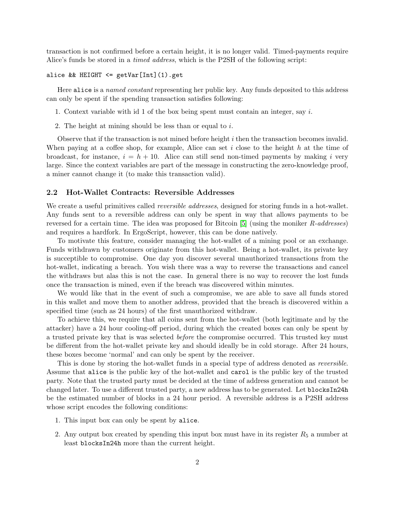transaction is not confirmed before a certain height, it is no longer valid. Timed-payments require Alice's funds be stored in a timed address, which is the P2SH of the following script:

#### alice && HEIGHT <= getVar[Int](1).get

Here alice is a named constant representing her public key. Any funds deposited to this address can only be spent if the spending transaction satisfies following:

- 1. Context variable with id 1 of the box being spent must contain an integer, say i.
- 2. The height at mining should be less than or equal to i.

Observe that if the transaction is not mined before height i then the transaction becomes invalid. When paying at a coffee shop, for example, Alice can set i close to the height h at the time of broadcast, for instance,  $i = h + 10$ . Alice can still send non-timed payments by making i very large. Since the context variables are part of the message in constructing the zero-knowledge proof, a miner cannot change it (to make this transaction valid).

#### 2.2 Hot-Wallet Contracts: Reversible Addresses

We create a useful primitives called *reversible addresses*, designed for storing funds in a hot-wallet. Any funds sent to a reversible address can only be spent in way that allows payments to be reversed for a certain time. The idea was proposed for Bitcoin [\[5\]](#page-10-4) (using the moniker R-addresses) and requires a hardfork. In ErgoScript, however, this can be done natively.

To motivate this feature, consider managing the hot-wallet of a mining pool or an exchange. Funds withdrawn by customers originate from this hot-wallet. Being a hot-wallet, its private key is succeptible to compromise. One day you discover several unauthorized transactions from the hot-wallet, indicating a breach. You wish there was a way to reverse the transactions and cancel the withdraws but alas this is not the case. In general there is no way to recover the lost funds once the transaction is mined, even if the breach was discovered within minutes.

We would like that in the event of such a compromise, we are able to save all funds stored in this wallet and move them to another address, provided that the breach is discovered within a specified time (such as 24 hours) of the first unauthorized withdraw.

To achieve this, we require that all coins sent from the hot-wallet (both legitimate and by the attacker) have a 24 hour cooling-off period, during which the created boxes can only be spent by a trusted private key that is was selected before the compromise occurred. This trusted key must be different from the hot-wallet private key and should ideally be in cold storage. After 24 hours, these boxes become 'normal' and can only be spent by the receiver.

This is done by storing the hot-wallet funds in a special type of address denoted as *reversible*. Assume that alice is the public key of the hot-wallet and carol is the public key of the trusted party. Note that the trusted party must be decided at the time of address generation and cannot be changed later. To use a different trusted party, a new address has to be generated. Let blocksIn24h be the estimated number of blocks in a 24 hour period. A reversible address is a P2SH address whose script encodes the following conditions:

- 1. This input box can only be spent by alice.
- 2. Any output box created by spending this input box must have in its register  $R_5$  a number at least blocksIn24h more than the current height.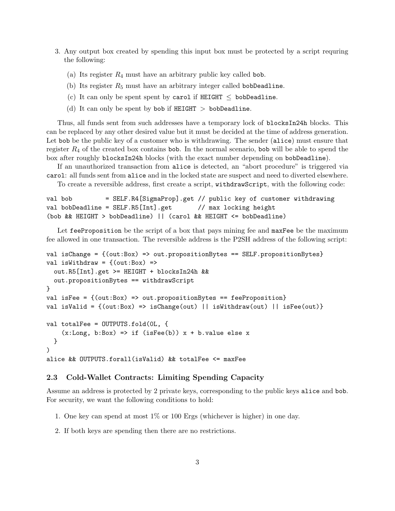- 3. Any output box created by spending this input box must be protected by a script requring the following:
	- (a) Its register  $R_4$  must have an arbitrary public key called bob.
	- (b) Its register  $R_5$  must have an arbitrary integer called bobDeadline.
	- (c) It can only be spent spent by carol if  $HEIGHT <$  bobDeadline.
	- (d) It can only be spent by bob if HEIGHT  $>$  bobDeadline.

Thus, all funds sent from such addresses have a temporary lock of blocksIn24h blocks. This can be replaced by any other desired value but it must be decided at the time of address generation. Let bob be the public key of a customer who is withdrawing. The sender (alice) must ensure that register  $R_4$  of the created box contains bob. In the normal scenario, bob will be able to spend the box after roughly blocksIn24h blocks (with the exact number depending on bobDeadline).

If an unauthorized transaction from alice is detected, an "abort procedure" is triggered via carol: all funds sent from alice and in the locked state are suspect and need to diverted elsewhere.

To create a reversible address, first create a script, withdrawScript, with the following code:

```
val bob = SELF.R4[SigmaProp].get // public key of customer withdrawing
val bobDeadline = SELF.R5[Int].get // max locking height
(bob && HEIGHT > bobDeadline) || (carol && HEIGHT <= bobDeadline)
```
Let feeProposition be the script of a box that pays mining fee and maxFee be the maximum fee allowed in one transaction. The reversible address is the P2SH address of the following script:

```
val isChange = {(out:Box) => out.propositionBytes == SELF.propositionBytes}
val isWithdraw = \{(out:Box) =>
  out.R5[Int].get >= HEIGHT + blocksIn24h &&
  out.propositionBytes == withdrawScript
}
val isFee = \{(out:Box) => out.propositionBytes == feeProposition}
val isValid = \{(out:Box) \implies isChange(out) \mid | isWithout(out) \mid | isFee(out)\}val totalFee = OUTPUTS.fold(0L, {
    (x:Long, b:Box) \Rightarrow if (isFee(b)) x + b.value else x}
\lambdaalice && OUTPUTS.forall(isValid) && totalFee <= maxFee
```
#### 2.3 Cold-Wallet Contracts: Limiting Spending Capacity

Assume an address is protected by 2 private keys, corresponding to the public keys alice and bob. For security, we want the following conditions to hold:

- 1. One key can spend at most 1% or 100 Ergs (whichever is higher) in one day.
- 2. If both keys are spending then there are no restrictions.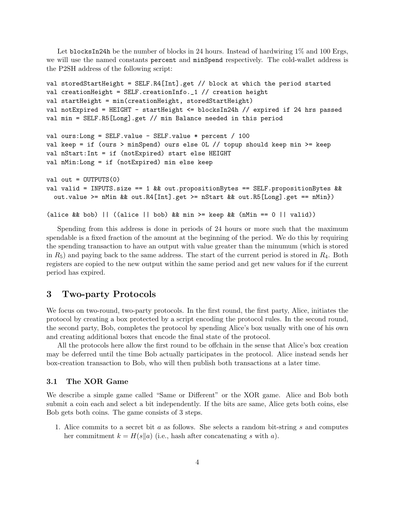Let blocksIn24h be the number of blocks in 24 hours. Instead of hardwiring  $1\%$  and  $100$  Ergs, we will use the named constants percent and minSpend respectively. The cold-wallet address is the P2SH address of the following script:

```
val storedStartHeight = SELF.R4[Int].get // block at which the period started
val creationHeight = SELF.creationInfo._1 // creation height
val startHeight = min(creationHeight, storedStartHeight)
val notExpired = HEIGHT - startHeight <= blocksIn24h // expired if 24 hrs passed
val min = SELF.R5[Long].get // min Balance needed in this period
val ours:Long = SELF.value - SELF.value * percent / 100
val keep = if (ours > minSpend) ours else 0L // topup should keep min >= keep
val nStart:Int = if (notExpired) start else HEIGHT
val nMin:Long = if (notExpired) min else keep
val out = OUTPUTS(0)val valid = INPUTS.size == 1 && out.propositionBytes == SELF.propositionBytes &&
  out.value >= nMin && out.R4[Int].get >= nStart && out.R5[Long].get == nMin})
(alice \& b \& b) || ((alice || bob) \& k \text{ min} \& b = k \text{ e} \& k \text{ (mMin)} = 0 \text{ (aid)})
```
Spending from this address is done in periods of 24 hours or more such that the maximum spendable is a fixed fraction of the amount at the beginning of the period. We do this by requiring the spending transaction to have an output with value greater than the minumum (which is stored in  $R_5$ ) and paying back to the same address. The start of the current period is stored in  $R_4$ . Both registers are copied to the new output within the same period and get new values for if the current period has expired.

### 3 Two-party Protocols

We focus on two-round, two-party protocols. In the first round, the first party, Alice, initiates the protocol by creating a box protected by a script encoding the protocol rules. In the second round, the second party, Bob, completes the protocol by spending Alice's box usually with one of his own and creating additional boxes that encode the final state of the protocol.

All the protocols here allow the first round to be offchain in the sense that Alice's box creation may be deferred until the time Bob actually participates in the protocol. Alice instead sends her box-creation transaction to Bob, who will then publish both transactions at a later time.

#### 3.1 The XOR Game

We describe a simple game called "Same or Different" or the XOR game. Alice and Bob both submit a coin each and select a bit independently. If the bits are same, Alice gets both coins, else Bob gets both coins. The game consists of 3 steps.

1. Alice commits to a secret bit a as follows. She selects a random bit-string s and computes her commitment  $k = H(s||a)$  (i.e., hash after concatenating s with a).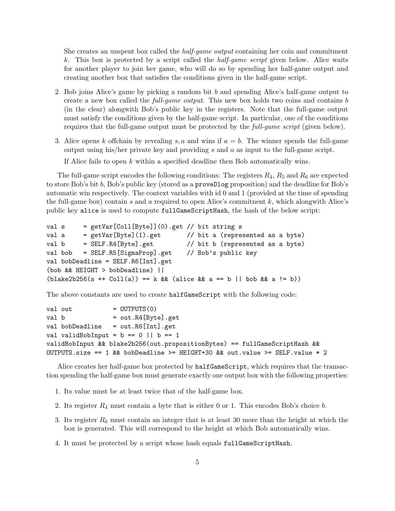She creates an unspent box called the *half-game output* containing her coin and commitment k. This box is protected by a script called the half-game script given below. Alice waits for another player to join her game, who will do so by spending her half-game output and creating another box that satisfies the conditions given in the half-game script.

- 2. Bob joins Alice's game by picking a random bit b and spending Alice's half-game output to create a new box called the full-game output. This new box holds two coins and contains b (in the clear) alongwith Bob's public key in the registers. Note that the full-game output must satisfy the conditions given by the half-game script. In particular, one of the conditions requires that the full-game output must be protected by the full-game script (given below).
- 3. Alice opens k offchain by revealing s, a and wins if  $a = b$ . The winner spends the full-game output using his/her private key and providing s and a as input to the full-game script.

If Alice fails to open k within a specified deadline then Bob automatically wins.

The full-game script encodes the following conditions: The registers  $R_4$ ,  $R_5$  and  $R_6$  are expected to store Bob's bit b, Bob's public key (stored as a proveDlog proposition) and the deadline for Bob's automatic win respectively. The context variables with id 0 and 1 (provided at the time of spending the full-game box) contain s and a required to open Alice's commitment  $k$ , which alongwith Alice's public key alice is used to compute fullGameScriptHash, the hash of the below script:

```
val s = getVar[Coll[Byte]](0).get // bit string sval a = getVar[Byte](1).get // bit a (represented as a byte)
val b = SELF.R4[Byte].get // bit b (represented as a byte)
val bob = SELF.R5[SigmaProp].get // Bob's public key
val bobDeadline = SELF.R6[Int].get
(bob && HEIGHT > bobDeadline) ||
(blake2b256(s ++ Col1(a)) == k & (alice & a == b || bob & a != b))
```
The above constants are used to create halfGameScript with the following code:

```
val out = OUTPUTS(0)
val b = out.R4[Byte].get
val bobDeadline = out.R6[Int].get
val validBobInput = b == 0 || b == 1validBobInput && blake2b256(out.propositionBytes) == fullGameScriptHash &&
OUTPUTS.size == 1 && bobDeadline >= HEIGHT+30 && out.value >= SELF.value * 2
```
Alice creates her half-game box protected by halfGameScript, which requires that the transaction spending the half-game box must generate exactly one output box with the following properties:

- 1. Its value must be at least twice that of the half-game box.
- 2. Its register  $R_4$  must contain a byte that is either 0 or 1. This encodes Bob's choice b.
- 3. Its register  $R_6$  must contain an integer that is at least 30 more than the height at which the box is generated. This will correspond to the height at which Bob automatically wins.
- 4. It must be protected by a script whose hash equals fullGameScriptHash.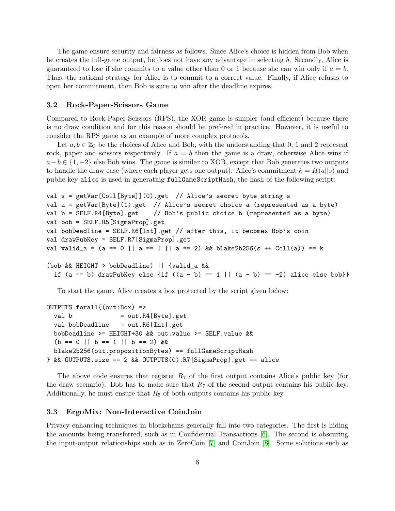The game ensure security and fairness as follows. Since Alice's choice is hidden from Bob when he creates the full-game output, he does not have any advantage in selecting b. Secondly, Alice is guaranteed to lose if she commits to a value other than 0 or 1 because she can win only if  $a = b$ . Thus, the rational strategy for Alice is to commit to a correct value. Finally, if Alice refuses to open her commitment, then Bob is sure to win after the deadline expires.

#### 3.2 Rock-Paper-Scissors Game

Compared to Rock-Paper-Scissors (RPS), the XOR game is simpler (and efficient) because there is no draw condition and for this reason should be prefered in practice. However, it is useful to consider the RPS game as an example of more complex protocols.

Let  $a, b \in \mathbb{Z}_3$  be the choices of Alice and Bob, with the understanding that 0, 1 and 2 represent rock, paper and scissors respectively. If  $a = b$  then the game is a draw, otherwise Alice wins if  $a-b \in \{1,-2\}$  else Bob wins. The game is similar to XOR, except that Bob generates two outputs to handle the draw case (where each player gets one output). Alice's commitment  $k = H(a||s)$  and public key alice is used in generating fullGameScriptHash, the hash of the following script:

```
val s = getVar[Coll[Byte]](0).get // Alice's secret byte string s
val a = getVar[Byte](1).get // Alice's secret choice a (represented as a byte)
val b = SELF.R4[Byte].get // Bob's public choice b (represented as a byte)
val bob = SELF.R5[SigmaProp].get
val bobDeadline = SELF.R6[Int].get // after this, it becomes Bob's coin
val drawPubKey = SELF.R7[SigmaProp].get
val valid_a = (a == 0 || a == 1 || a == 2) && blake2b256(s ++ Coll(a)) == k
(bob && HEIGHT > bobDeadline) || {valid_a &&
  if (a == b) drawPubKey else {if ((a - b) == 1 || (a - b) == -2) alice else bob}}
```
To start the game, Alice creates a box protected by the script given below:

```
OUTPUTS.forall{(out:Box) =>
  val b = out.R4[Byte].get
  val bobDeadline = out.R6[Int].get
  bobDeadline >= HEIGHT+30 && out.value >= SELF.value &&
  (b == 0 || b == 1 || b == 2) & &
  blake2b256(out.propositionBytes) == fullGameScriptHash
} && OUTPUTS.size == 2 && OUTPUTS(0).R7[SigmaProp].get == alice
```
The above code ensures that register  $R_7$  of the first output contains Alice's public key (for the draw scenario). Bob has to make sure that  $R_7$  of the second output contains his public key. Additionally, he must ensure that  $R_5$  of both outputs contains his public key.

#### <span id="page-5-0"></span>3.3 ErgoMix: Non-Interactive CoinJoin

Privacy enhancing techniques in blockchains generally fall into two categories. The first is hiding the amounts being transferred, such as in Confidential Transactions [\[6\]](#page-10-5). The second is obscuring the input-output relationships such as in ZeroCoin [\[7\]](#page-10-6) and CoinJoin [\[8\]](#page-10-7). Some solutions such as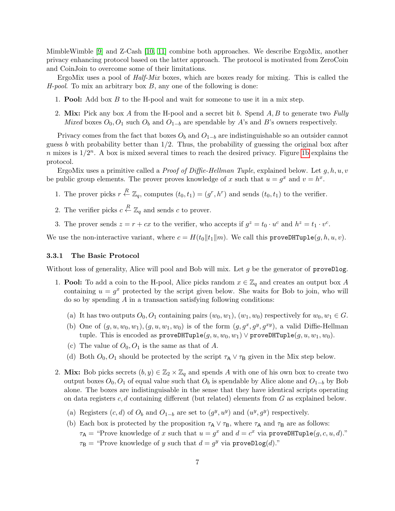MimbleWimble [\[9\]](#page-11-0) and Z-Cash [\[10,](#page-11-1) [11\]](#page-11-2) combine both approaches. We describe ErgoMix, another privacy enhancing protocol based on the latter approach. The protocol is motivated from ZeroCoin and CoinJoin to overcome some of their limitations.

ErgoMix uses a pool of *Half-Mix* boxes, which are boxes ready for mixing. This is called the  $H$ -pool. To mix an arbitrary box  $B$ , any one of the following is done:

- 1. Pool: Add box B to the H-pool and wait for someone to use it in a mix step.
- 2. Mix: Pick any box A from the H-pool and a secret bit b. Spend  $A, B$  to generate two Fully Mixed boxes  $O_0$ ,  $O_1$  such  $O_b$  and  $O_{1-b}$  are spendable by A's and B's owners respectively.

Privacy comes from the fact that boxes  $O_b$  and  $O_{1-b}$  are indistinguishable so an outsider cannot guess b with probability better than  $1/2$ . Thus, the probability of guessing the original box after n mixes is  $1/2^n$ . A box is mixed several times to reach the desired privacy. Figure [1b](#page-8-0) explains the protocol.

ErgoMix uses a primitive called a *Proof of Diffie-Hellman Tuple*, explained below. Let  $g, h, u, v$ be public group elements. The prover proves knowledge of x such that  $u = g^x$  and  $v = h^x$ .

- 1. The prover picks  $r \stackrel{R}{\leftarrow} \mathbb{Z}_q$ , computes  $(t_0, t_1) = (g^r, h^r)$  and sends  $(t_0, t_1)$  to the verifier.
- 2. The verifier picks  $c \stackrel{R}{\leftarrow} \mathbb{Z}_q$  and sends c to prover.
- 3. The prover sends  $z = r + cx$  to the verifier, who accepts if  $g^z = t_0 \cdot u^c$  and  $h^z = t_1 \cdot v^c$ .

We use the non-interactive variant, where  $c = H(t_0||t_1||m)$ . We call this proveDHTuple( $g, h, u, v$ ).

#### 3.3.1 The Basic Protocol

Without loss of generality, Alice will pool and Bob will mix. Let g be the generator of proveDlog.

- 1. **Pool:** To add a coin to the H-pool, Alice picks random  $x \in \mathbb{Z}_q$  and creates an output box A containing  $u = g^x$  protected by the script given below. She waits for Bob to join, who will  $\alpha$  do so by spending A in a transaction satisfying following conditions:
	- (a) It has two outputs  $O_0, O_1$  containing pairs  $(w_0, w_1), (w_1, w_0)$  respectively for  $w_0, w_1 \in G$ .
	- (b) One of  $(g, u, w_0, w_1), (g, u, w_1, w_0)$  is of the form  $(g, g^x, g^y, g^{xy})$ , a valid Diffie-Hellman tuple. This is encoded as  $\text{proveDHTuple}(g, u, w_0, w_1) \vee \text{proveDHTuple}(g, u, w_1, w_0)$ .
	- (c) The value of  $O_0, O_1$  is the same as that of A.
	- (d) Both  $O_0$ ,  $O_1$  should be protected by the script  $\tau_A \vee \tau_B$  given in the Mix step below.
- 2. Mix: Bob picks secrets  $(b, y) \in \mathbb{Z}_2 \times \mathbb{Z}_q$  and spends A with one of his own box to create two output boxes  $O_0$ ,  $O_1$  of equal value such that  $O_b$  is spendable by Alice alone and  $O_{1-b}$  by Bob alone. The boxes are indistinguisable in the sense that they have identical scripts operating on data registers c, d containing different (but related) elements from  $G$  as explained below.
	- (a) Registers  $(c, d)$  of  $O_b$  and  $O_{1-b}$  are set to  $(g<sup>y</sup>, u<sup>y</sup>)$  and  $(u<sup>y</sup>, g<sup>y</sup>)$  respectively.
	- (b) Each box is protected by the proposition  $\tau_A \vee \tau_B$ , where  $\tau_A$  and  $\tau_B$  are as follows:  $\tau_A$  = "Prove knowledge of x such that  $u = g^x$  and  $d = c^x$  via proveDHTuple $(g, c, u, d)$ ."  $\tau_{\mathsf{B}} =$  "Prove knowledge of y such that  $d = g^y$  via proveDlog(d)."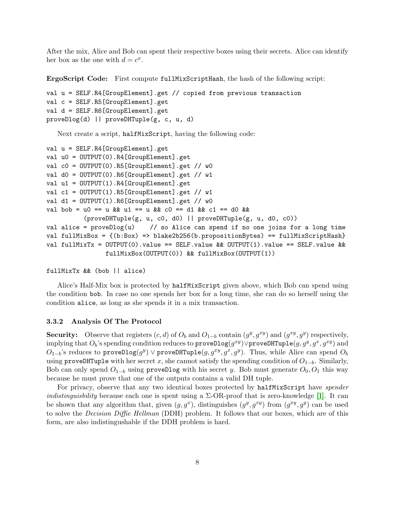After the mix, Alice and Bob can spent their respective boxes using their secrets. Alice can identify her box as the one with  $d = c^x$ .

ErgoScript Code: First compute fullMixScriptHash, the hash of the following script:

```
val u = SELF.R4[GroupElement].get // copied from previous transaction
val c = SELF.R5[GroupElement].get
val d = SELF.R6[GroupElement].get
proveDlog(d) || proveDHTuple(g, c, u, d)
```
Next create a script, halfMixScript, having the following code:

```
val u = SELF.R4[GroupElement].get
val u0 = OUTPUT(0).R4[GroupElement].get
val c0 = OUTPUT(0).R5[GroupElement].get // w0
val d0 = OUTPUT(0) . R6[GroupElement].get // w1val u1 = OUTPUT(1).R4[GroupElement].get
val c1 = OUTPUT(1).R5[GroupElement].get // w1val d1 = OUTPUT(1).R6[GroupElement].get // w0
val bob = u0 == u && u1 == u && c0 == d1 && c1 == d0 &&
          (proveDHTuple(g, u, c0, d0) || proveDHTuple(g, u, d0, c0))
val alice = proveDlog(u) // so Alice can spend if no one joins for a long time
val fullMixBox = {(b:Box) => blake2b256(b.propositionBytes) == fullMixScriptHash}
val fullMixTx = OUTPUT(0) \cdot value == SELF \cdot value \& OUTPUT(1) \cdot value == SELF \cdot value \&fullMixBox(OUTPUT(0)) && fullMixBox(OUTPUT(1))
```
fullMixTx && (bob || alice)

Alice's Half-Mix box is protected by halfMixScript given above, which Bob can spend using the condition bob. In case no one spends her box for a long time, she can do so herself using the condition alice, as long as she spends it in a mix transaction.

#### 3.3.2 Analysis Of The Protocol

Security: Observe that registers  $(c, d)$  of  $O_b$  and  $O_{1-b}$  contain  $(g^y, g^{xy})$  and  $(g^{xy}, g^y)$  respectively, implying that  $O_b$ 's spending condition reduces to  $\texttt{proveDlog}(g^{xy})\lor \texttt{proveDHTuple}(g, g^y, g^x, g^{xy})$  and  $O_{1-b}$ 's reduces to proveDlog $(g^y)$ ∨proveDHTuple $(g, g^{xy}, g^x, g^y)$ . Thus, while Alice can spend  $O_b$ using proveDHTuple with her secret x, she cannot satisfy the spending condition of  $O_{1-b}$ . Similarly, Bob can only spend  $O_{1-b}$  using proveDlog with his secret y. Bob must generate  $O_0$ ,  $O_1$  this way because he must prove that one of the outputs contains a valid DH tuple.

For privacy, observe that any two identical boxes protected by halfMixScript have spender indistinguisbility because each one is spent using a  $\Sigma$ -OR-proof that is zero-knowledge [\[1\]](#page-10-0). It can be shown that any algorithm that, given  $(g, g^x)$ , distinguishes  $(g^y, g^{xy})$  from  $(g^{xy}, g^y)$  can be used to solve the *Decision Diffie Hellman* (DDH) problem. It follows that our boxes, which are of this form, are also indistingushable if the DDH problem is hard.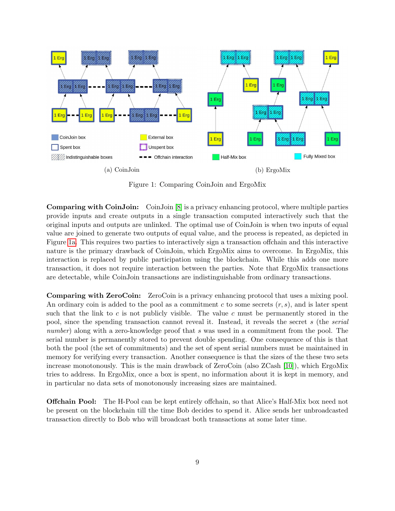<span id="page-8-0"></span>

Figure 1: Comparing CoinJoin and ErgoMix

Comparing with CoinJoin: CoinJoin [\[8\]](#page-10-7) is a privacy enhancing protocol, where multiple parties provide inputs and create outputs in a single transaction computed interactively such that the original inputs and outputs are unlinked. The optimal use of CoinJoin is when two inputs of equal value are joined to generate two outputs of equal value, and the process is repeated, as depicted in Figure [1a.](#page-8-0) This requires two parties to interactively sign a transaction offchain and this interactive nature is the primary drawback of CoinJoin, which ErgoMix aims to overcome. In ErgoMix, this interaction is replaced by public participation using the blockchain. While this adds one more transaction, it does not require interaction between the parties. Note that ErgoMix transactions are detectable, while CoinJoin transactions are indistinguishable from ordinary transactions.

Comparing with ZeroCoin: ZeroCoin is a privacy enhancing protocol that uses a mixing pool. An ordinary coin is added to the pool as a commitment c to some secrets  $(r, s)$ , and is later spent such that the link to  $c$  is not publicly visible. The value  $c$  must be permanently stored in the pool, since the spending transaction cannot reveal it. Instead, it reveals the secret s (the serial number) along with a zero-knowledge proof that s was used in a commitment from the pool. The serial number is permanently stored to prevent double spending. One consequence of this is that both the pool (the set of commitments) and the set of spent serial numbers must be maintained in memory for verifying every transaction. Another consequence is that the sizes of the these two sets increase monotonously. This is the main drawback of ZeroCoin (also ZCash [\[10\]](#page-11-1)), which ErgoMix tries to address. In ErgoMix, once a box is spent, no information about it is kept in memory, and in particular no data sets of monotonously increasing sizes are maintained.

**Offchain Pool:** The H-Pool can be kept entirely offchain, so that Alice's Half-Mix box need not be present on the blockchain till the time Bob decides to spend it. Alice sends her unbroadcasted transaction directly to Bob who will broadcast both transactions at some later time.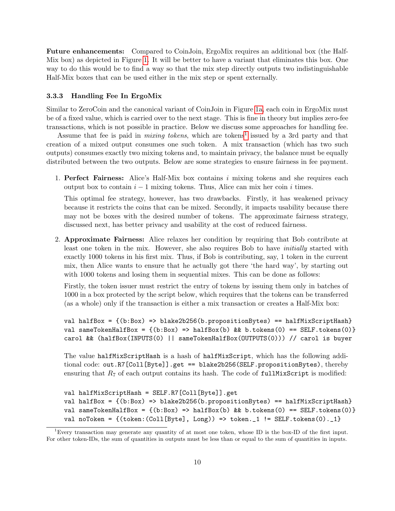Future enhancements: Compared to CoinJoin, ErgoMix requires an additional box (the Half-Mix box) as depicted in Figure [1.](#page-8-0) It will be better to have a variant that eliminates this box. One way to do this would be to find a way so that the mix step directly outputs two indistinguishable Half-Mix boxes that can be used either in the mix step or spent externally.

#### 3.3.3 Handling Fee In ErgoMix

Similar to ZeroCoin and the canonical variant of CoinJoin in Figure [1a,](#page-8-0) each coin in ErgoMix must be of a fixed value, which is carried over to the next stage. This is fine in theory but implies zero-fee transactions, which is not possible in practice. Below we discuss some approaches for handling fee.

Assume that fee is paid in *mixing tokens*, which are tokens<sup>[1](#page-9-0)</sup> issued by a 3rd party and that creation of a mixed output consumes one such token. A mix transaction (which has two such outputs) consumes exactly two mixing tokens and, to maintain privacy, the balance must be equally distributed between the two outputs. Below are some strategies to ensure fairness in fee payment.

1. Perfect Fairness: Alice's Half-Mix box contains i mixing tokens and she requires each output box to contain  $i - 1$  mixing tokens. Thus, Alice can mix her coin i times.

This optimal fee strategy, however, has two drawbacks. Firstly, it has weakened privacy because it restricts the coins that can be mixed. Secondly, it impacts usability because there may not be boxes with the desired number of tokens. The approximate fairness strategy, discussed next, has better privacy and usability at the cost of reduced fairness.

2. Approximate Fairness: Alice relaxes her condition by requiring that Bob contribute at least one token in the mix. However, she also requires Bob to have *initially* started with exactly 1000 tokens in his first mix. Thus, if Bob is contributing, say, 1 token in the current mix, then Alice wants to ensure that he actually got there 'the hard way', by starting out with 1000 tokens and losing them in sequential mixes. This can be done as follows:

Firstly, the token issuer must restrict the entry of tokens by issuing them only in batches of 1000 in a box protected by the script below, which requires that the tokens can be transferred (as a whole) only if the transaction is either a mix transaction or creates a Half-Mix box:

```
val halfBox = {(b:Box) => blake2b256(b.propositionBytes) == halfMixScriptHash}
val sameTokenHalfBox = \{(b:Box) \Rightarrow \text{halfBox}(b) \& b \text{. tokens}(0) = \text{SELF. tokens}(0)\}carol && (halfBox(INPUTS(0) || sameTokenHalfBox(OUTPUTS(0))) // carol is buyer
```
The value halfMixScriptHash is a hash of halfMixScript, which has the following additional code: out.R7[Coll[Byte]].get == blake2b256(SELF.propositionBytes), thereby ensuring that  $R_7$  of each output contains its hash. The code of full MixScript is modified:

```
val halfMixScriptHash = SELF.R7[Coll[Byte]].get
val halfBox = {(b:Box) => blake2b256(b.propositionBytes) == halfMixScriptHash}
val sameTokenHalfBox = \{(b:Box) \Rightarrow \text{halfBox}(b) \& b.tokens(0) = \text{SELF}.\text{tokens}(0)\}val noToken = \{(token: (Coll [Byte], Long)) \Rightarrow token . 1 != SELF. tokens (0) . 1\}
```
<span id="page-9-0"></span><sup>1</sup>Every transaction may generate any quantity of at most one token, whose ID is the box-ID of the first input. For other token-IDs, the sum of quantities in outputs must be less than or equal to the sum of quantities in inputs.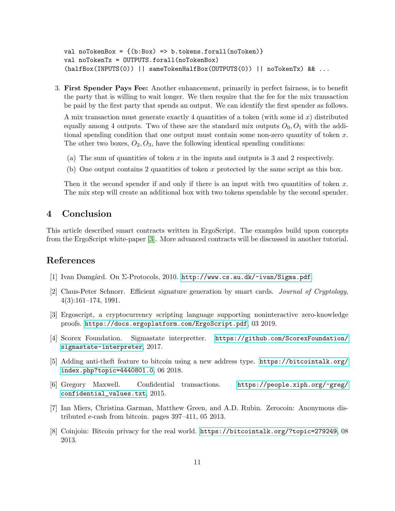```
val noTokenBox = \{(b:Box) \implies b.tokens.forall(noToken)\}val noTokenTx = OUTPUTS.forall(noTokenBox)
(halfBox(INPUTS(0)) || sameTokenHalfBox(OUTPUTS(0)) || noTokenTx) && ...
```
3. First Spender Pays Fee: Another enhancement, primarily in perfect fairness, is to benefit the party that is willing to wait longer. We then require that the fee for the mix transaction be paid by the first party that spends an output. We can identify the first spender as follows.

A mix transaction must generate exactly 4 quantities of a token (with some id x) distributed equally among 4 outputs. Two of these are the standard mix outputs  $O_0$ ,  $O_1$  with the additional spending condition that one output must contain some non-zero quantity of token  $x$ . The other two boxes,  $O_2$ ,  $O_3$ , have the following identical spending conditions:

- (a) The sum of quantities of token  $x$  in the inputs and outputs is 3 and 2 respectively.
- (b) One output contains 2 quantities of token x protected by the same script as this box.

Then it the second spender if and only if there is an input with two quantities of token  $x$ . The mix step will create an additional box with two tokens spendable by the second spender.

# 4 Conclusion

This article described smart contracts written in ErgoScript. The examples build upon concepts from the ErgoScript white-paper [\[3\]](#page-10-2). More advanced contracts will be discussed in another tutorial.

### References

- <span id="page-10-0"></span>[1] Ivan Damgård. On Σ-Protocols, 2010. <http://www.cs.au.dk/~ivan/Sigma.pdf>.
- <span id="page-10-1"></span>[2] Claus-Peter Schnorr. Efficient signature generation by smart cards. Journal of Cryptology, 4(3):161–174, 1991.
- <span id="page-10-2"></span>[3] Ergoscript, a cryptocurrency scripting language supporting noninteractive zero-knowledge proofs. <https://docs.ergoplatform.com/ErgoScript.pdf>, 03 2019.
- <span id="page-10-3"></span>[4] Scorex Foundation. Sigmastate interpretter. [https://github.com/ScorexFoundation/](https://github.com/ScorexFoundation/sigmastate-interpreter) [sigmastate-interpreter](https://github.com/ScorexFoundation/sigmastate-interpreter), 2017.
- <span id="page-10-4"></span>[5] Adding anti-theft feature to bitcoin using a new address type. [https://bitcointalk.org/](https://bitcointalk.org/index.php?topic=4440801.0) [index.php?topic=4440801.0](https://bitcointalk.org/index.php?topic=4440801.0), 06 2018.
- <span id="page-10-5"></span>[6] Gregory Maxwell. Confidential transactions. [https://people.xiph.org/~greg/](https://people.xiph.org/~greg/confidential_values.txt) [confidential\\_values.txt](https://people.xiph.org/~greg/confidential_values.txt), 2015.
- <span id="page-10-6"></span>[7] Ian Miers, Christina Garman, Matthew Green, and A.D. Rubin. Zerocoin: Anonymous distributed e-cash from bitcoin. pages 397–411, 05 2013.
- <span id="page-10-7"></span>[8] Coinjoin: Bitcoin privacy for the real world. <https://bitcointalk.org/?topic=279249>, 08 2013.